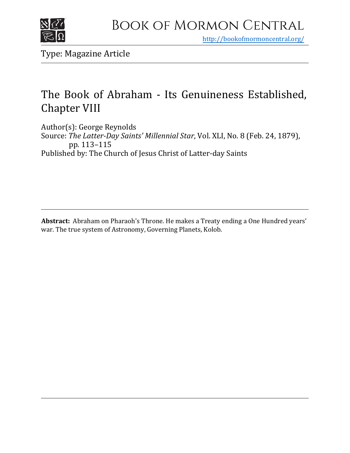

<http://bookofmormoncentral.org/>

Type: Magazine Article

## The Book of Abraham - Its Genuineness Established, Chapter VIII

Author(s): George Reynolds Source: *The Latter-Day Saints' Millennial Star*, Vol. XLI, No. 8 (Feb. 24, 1879), pp. 113–115 Published by: The Church of Jesus Christ of Latter-day Saints

**Abstract:** Abraham on Pharaoh's Throne. He makes a Treaty ending a One Hundred years' war. The true system of Astronomy, Governing Planets, Kolob.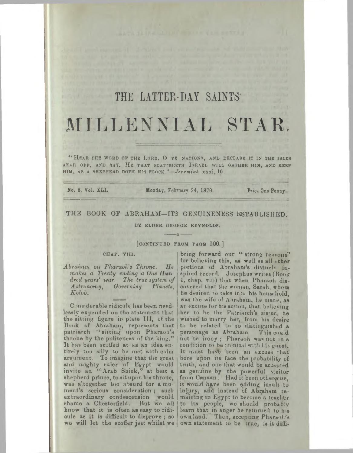# THE LATTER-DAY SAINTS MILLENNIAL STAR,

" Hear the word of the Lord, O ye nations, and declare it in the isles AFAR OFF, AND SAY, HE THAT SCATrERETH ISRAEL WILL GATHER HIM, AND KEEP HIM, AS A SHEPHERD DOTH HIS FLOCK."—*Jeremiah* xxxi, 10.

No. 8, Vol. XLI. Monday, February 24, 1879. Prioe One Penny.

#### THE BOOK OF ABRAHAM—ITS GENUINENESS ESTABLISHED.

BY ELDER GEORGE REYNOLDS.

**------- O-------**

## **[CONTINUED FROM PAGB 100.]**

## **CHAP. VIII.**

*Abraham on Pharaoh's Throne. He makes a Treaty ending a One Ilun dred years'* war *The true system of Astronomy, Governing Planets, Kolob.*

C msiderable ridicule has been need lessly expended on the statement that the sitting figure in plate III, of the Book of Abraham, represents that patriarch "sittiug upon Pharaoh'<sup>s</sup> throne by the politeness of the king." It has been scoffed at as an idea entirely too silly to be met with calm argument. To imagine that the great and mighty ruler of Egypt would invite an "Arab Sbiek," at best <sup>a</sup> shepherd prince, to sit upon his throne, was altogether too absurd for a mo ment's serious consideration; such extraordinary condescension would shame a Chesterfield. But we all know that it is often as easy to ridicule as it is difficult to disprove; so ownland. Then, accepting Pharaoh's we will let the scoffer jest whilst we own statement to be true, is it diffi-

bring forward our "strong reasons" for believing this, as well as all other portions of Abraham's divinely inspired record. Josephus writes (Book 1, chap, viir) that when Pharaoh discovered that the woman, Sarah, whom he desired to take into his household, was the wife of Abraham, he made, as an excuse for his action, that, believing her to be the Patriarch's sister, he wished to marry her, from his desire to be related to so distinguished a personage as Ahraham. This could not be irony ; Pharaoh was not in a condition to be ironical with bis guest. It must have been an excuse that bore upon its face the probability of truth, and ona that would be accepted as genuine by the powerful visitor from Canaan. Had it been otherwise, it would have been adding insult tu injury, and instead of Abraham remaining in Egypt to become a teacher to its people, we should probably learn that in anger he returned to his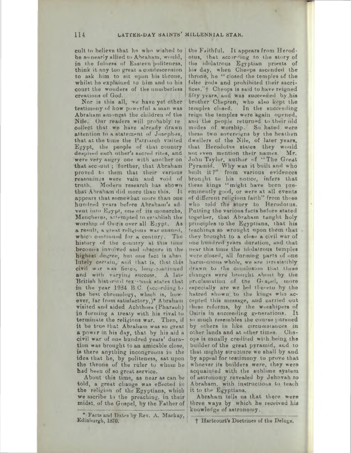cult to believe that he who wished to be so nearly allied to Abraham, would, in the fulness of Eastern politeness, think it any too great a condescension to ask him to sit upon his throne, whilst he explained to him and to his court the wonders of the numberless creations of God.

Nor is this all, we have yet other testimony of how powerful a man was Abraham amongst the children of the Nile. Our readers will prohably re collect that we have already drawn attention to a statement of Josephus, that at the time the Patriarch visited Egypt, the people of that country despised each other's sacred rites, and were very angry one with another on that acc out; further, that Abraham proved to them that their various reasonings were vain and void of truth. Modern research has shown that Abraham did more than this. It appears that somewhat more than one hundred years before Abraham's advent into Erypt, one of its monarchs, Mencheres, attempted to establish the worship of Osiris over all Egypt. As a result, a great religious war ensued, which continued for a century. The history of the country at this time becomes involved and obscure in ihe highest degree, but one fact is absolutely certain, and that is, that this civil wer was fierce, long-continued and with varying success. A late British historical tex'-hook states that in the year 1934 B.C. (according to the best chronology, which is, however, far from satisfactory,)\* Abraham visited and aided Achthoes (Pharaoh) in forming a treaty with his rival to terminate the religious war. Then, if it be true that Abraham was so great a power in his day, that by his aid a civil war of one hundred years' duration was brought to an amicable close, is there anything incongruous in the idea that he, by politeness, sat upon the throne of the ruler to whom be had been of so great service.

About this time, as near as can be told, a great change was effected in the religion of the Egyptians, which we ascribe to the preaching, in their midst, of the Gospel, by the Father of

\* Facts and Dates by Rev. A. Mackay, Edinburgh, 1870.

the Faithful. It appears from Herodotus, that according to the story of the idolatrous Egyptian priests of his day, when Cheops ascended the throne, he " closed the temples of the false gods and prohibited their sacrifices."+ Cheops is said to have reigned fifty years, and was succeeded by his brother Chepren, who also kept the temples closed. In the succeeding reign the temples were again opened, and the people returned to their old modes of worship. So hated were these two sovereigns by the heathen dwellers of the Nile, of later years, ihat Herodotus stales they would not even mention their names. Mr. not even mention their names. Mr.<br>John Taylor, author of "The Great Pyramid. Why was it built and who built it?" from various evidences brought to his notice, infers that these kings "might have been preeminently good, or were at all events of different religions faith" from those who told the story to Herodotus. Putting the various facts before stated together, that Abraham taught holy principles to the Egyptians, that his teachings so wrought upon them that. they brought to a close a civil war of one hundred years duration, and that near this time the idolatrous temples were closed, all forming parts of one harmonious whole, we are irresistibly drawn to the conclusion that these changes were brought about by the priclamation of the Gespel, more especially are we led thereto hy the hatred shown to the kings who accepted tliia message, and carried out 'hese reforms, by the woishipers of Osiris in succeeding generations. It so much resembles the course pursued by others in like circumstances in other lands and at other times. Cheops is usually credited with being the builder of the great pyramid, and to that mighty strusture we shall by and by appeal for testimony to prove that whoever its builders were, they were acquainted with the sublime system of astronomy revealed by Jehovah to Abraham, with instructions to teach it to the Egyptians.

Abraham tells us that there were three ways by which he received his knowledge of astronomy.

f Hartcourt'<sup>s</sup> Doctrines of the Deluge.